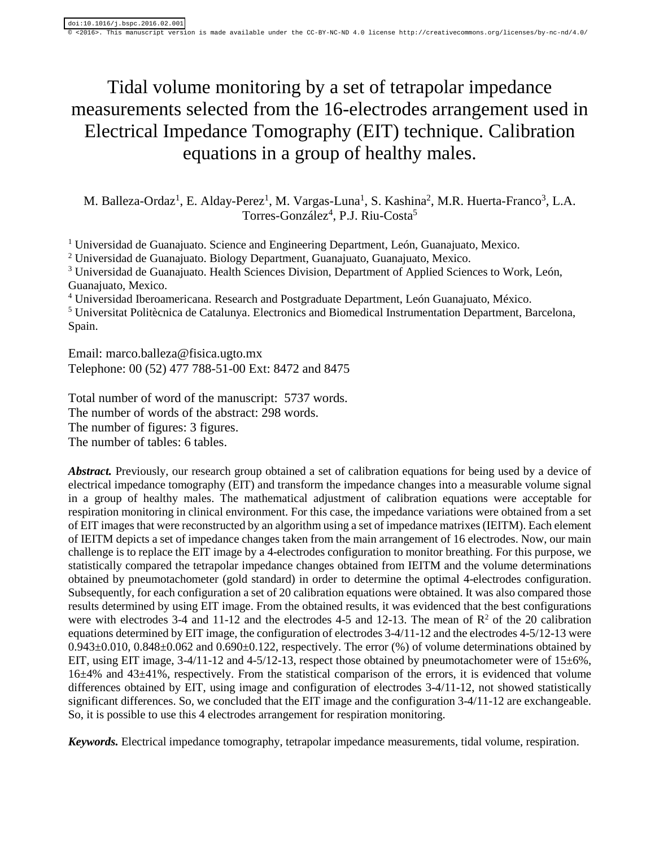# Tidal volume monitoring by a set of tetrapolar impedance measurements selected from the 16-electrodes arrangement used in Electrical Impedance Tomography (EIT) technique. Calibration equations in a group of healthy males.

M. Balleza-Ordaz<sup>1</sup>, E. Alday-Perez<sup>1</sup>, M. Vargas-Luna<sup>1</sup>, S. Kashina<sup>2</sup>, M.R. Huerta-Franco<sup>3</sup>, L.A. Torres-González<sup>4</sup>, P.J. Riu-Costa<sup>5</sup>

<sup>1</sup> Universidad de Guanajuato. Science and Engineering Department, León, Guanajuato, Mexico.

<sup>2</sup> Universidad de Guanajuato. Biology Department, Guanajuato, Guanajuato, Mexico.

<sup>3</sup> Universidad de Guanajuato. Health Sciences Division, Department of Applied Sciences to Work, León, Guanajuato, Mexico.

<sup>4</sup> Universidad Iberoamericana. Research and Postgraduate Department, León Guanajuato, México.

<sup>5</sup> Universitat Politècnica de Catalunya. Electronics and Biomedical Instrumentation Department, Barcelona, Spain.

Email: [marco.balleza@fisica.ugto.mx](mailto:marco.balleza@fisica.ugto.mx) Telephone: 00 (52) 477 788-51-00 Ext: 8472 and 8475

Total number of word of the manuscript: 5737 words. The number of words of the abstract: 298 words. The number of figures: 3 figures. The number of tables: 6 tables.

*Abstract.* Previously, our research group obtained a set of calibration equations for being used by a device of electrical impedance tomography (EIT) and transform the impedance changes into a measurable volume signal in a group of healthy males. The mathematical adjustment of calibration equations were acceptable for respiration monitoring in clinical environment. For this case, the impedance variations were obtained from a set of EIT images that were reconstructed by an algorithm using a set of impedance matrixes (IEITM). Each element of IEITM depicts a set of impedance changes taken from the main arrangement of 16 electrodes. Now, our main challenge is to replace the EIT image by a 4-electrodes configuration to monitor breathing. For this purpose, we statistically compared the tetrapolar impedance changes obtained from IEITM and the volume determinations obtained by pneumotachometer (gold standard) in order to determine the optimal 4-electrodes configuration. Subsequently, for each configuration a set of 20 calibration equations were obtained. It was also compared those results determined by using EIT image. From the obtained results, it was evidenced that the best configurations were with electrodes 3-4 and 11-12 and the electrodes 4-5 and 12-13. The mean of  $\mathbb{R}^2$  of the 20 calibration equations determined by EIT image, the configuration of electrodes 3-4/11-12 and the electrodes 4-5/12-13 were 0.943±0.010, 0.848±0.062 and 0.690±0.122, respectively. The error (%) of volume determinations obtained by EIT, using EIT image,  $3-4/11-12$  and  $4-5/12-13$ , respect those obtained by pneumotachometer were of  $15\pm6\%$ , 16±4% and 43±41%, respectively. From the statistical comparison of the errors, it is evidenced that volume differences obtained by EIT, using image and configuration of electrodes 3-4/11-12, not showed statistically significant differences. So, we concluded that the EIT image and the configuration 3-4/11-12 are exchangeable. So, it is possible to use this 4 electrodes arrangement for respiration monitoring.

*Keywords.* Electrical impedance tomography, tetrapolar impedance measurements, tidal volume, respiration.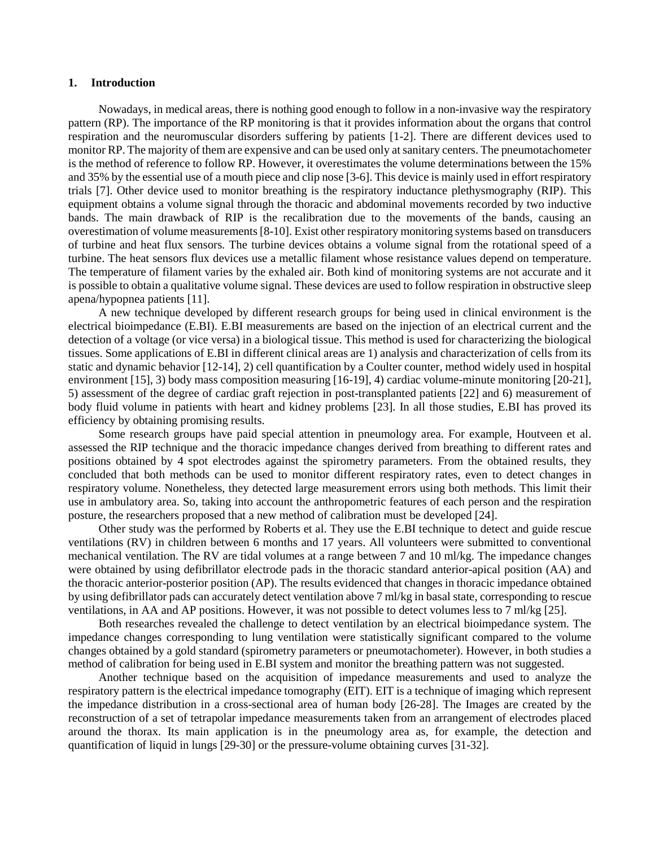### **1. Introduction**

Nowadays, in medical areas, there is nothing good enough to follow in a non-invasive way the respiratory pattern (RP). The importance of the RP monitoring is that it provides information about the organs that control respiration and the neuromuscular disorders suffering by patients [1-2]. There are different devices used to monitor RP. The majority of them are expensive and can be used only at sanitary centers. The pneumotachometer is the method of reference to follow RP. However, it overestimates the volume determinations between the 15% and 35% by the essential use of a mouth piece and clip nose [3-6]. This device is mainly used in effort respiratory trials [7]. Other device used to monitor breathing is the respiratory inductance plethysmography (RIP). This equipment obtains a volume signal through the thoracic and abdominal movements recorded by two inductive bands. The main drawback of RIP is the recalibration due to the movements of the bands, causing an overestimation of volume measurements [8-10]. Exist other respiratory monitoring systems based on transducers of turbine and heat flux sensors. The turbine devices obtains a volume signal from the rotational speed of a turbine. The heat sensors flux devices use a metallic filament whose resistance values depend on temperature. The temperature of filament varies by the exhaled air. Both kind of monitoring systems are not accurate and it is possible to obtain a qualitative volume signal. These devices are used to follow respiration in obstructive sleep apena/hypopnea patients [11].

A new technique developed by different research groups for being used in clinical environment is the electrical bioimpedance (E.BI). E.BI measurements are based on the injection of an electrical current and the detection of a voltage (or vice versa) in a biological tissue. This method is used for characterizing the biological tissues. Some applications of E.BI in different clinical areas are 1) analysis and characterization of cells from its static and dynamic behavior [12-14], 2) cell quantification by a Coulter counter, method widely used in hospital environment [15], 3) body mass composition measuring [16-19], 4) cardiac volume-minute monitoring [20-21], 5) assessment of the degree of cardiac graft rejection in post-transplanted patients [22] and 6) measurement of body fluid volume in patients with heart and kidney problems [23]. In all those studies, E.BI has proved its efficiency by obtaining promising results.

Some research groups have paid special attention in pneumology area. For example, Houtveen et al. assessed the RIP technique and the thoracic impedance changes derived from breathing to different rates and positions obtained by 4 spot electrodes against the spirometry parameters. From the obtained results, they concluded that both methods can be used to monitor different respiratory rates, even to detect changes in respiratory volume. Nonetheless, they detected large measurement errors using both methods. This limit their use in ambulatory area. So, taking into account the anthropometric features of each person and the respiration posture, the researchers proposed that a new method of calibration must be developed [24].

Other study was the performed by Roberts et al. They use the E.BI technique to detect and guide rescue ventilations (RV) in children between 6 months and 17 years. All volunteers were submitted to conventional mechanical ventilation. The RV are tidal volumes at a range between 7 and 10 ml/kg. The impedance changes were obtained by using defibrillator electrode pads in the thoracic standard anterior-apical position (AA) and the thoracic anterior-posterior position (AP). The results evidenced that changes in thoracic impedance obtained by using defibrillator pads can accurately detect ventilation above 7 ml/kg in basal state, corresponding to rescue ventilations, in AA and AP positions. However, it was not possible to detect volumes less to 7 ml/kg [25].

Both researches revealed the challenge to detect ventilation by an electrical bioimpedance system. The impedance changes corresponding to lung ventilation were statistically significant compared to the volume changes obtained by a gold standard (spirometry parameters or pneumotachometer). However, in both studies a method of calibration for being used in E.BI system and monitor the breathing pattern was not suggested.

Another technique based on the acquisition of impedance measurements and used to analyze the respiratory pattern is the electrical impedance tomography (EIT). EIT is a technique of imaging which represent the impedance distribution in a cross-sectional area of human body [26-28]. The Images are created by the reconstruction of a set of tetrapolar impedance measurements taken from an arrangement of electrodes placed around the thorax. Its main application is in the pneumology area as, for example, the detection and quantification of liquid in lungs [29-30] or the pressure-volume obtaining curves [31-32].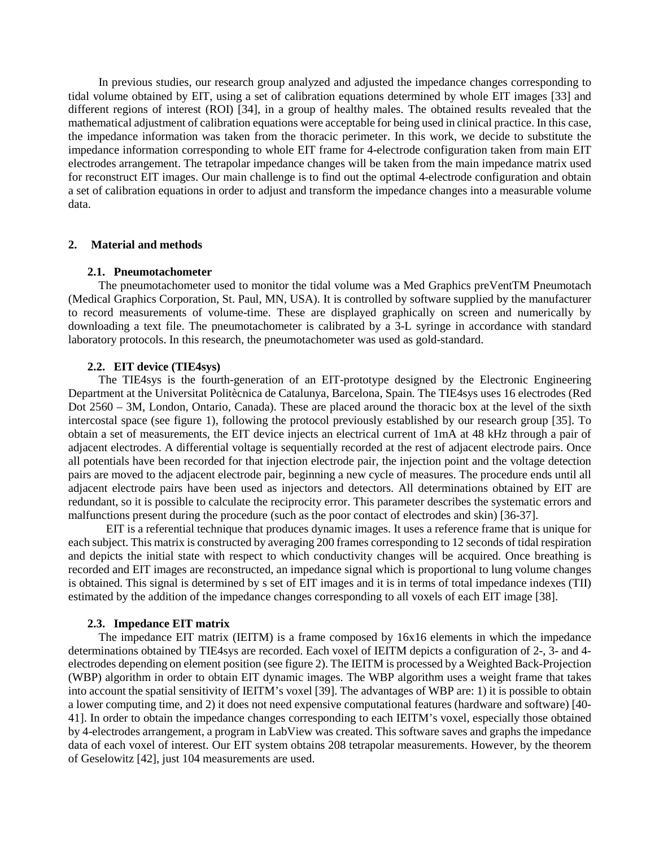In previous studies, our research group analyzed and adjusted the impedance changes corresponding to tidal volume obtained by EIT, using a set of calibration equations determined by whole EIT images [33] and different regions of interest (ROI) [34], in a group of healthy males. The obtained results revealed that the mathematical adjustment of calibration equations were acceptable for being used in clinical practice. In this case, the impedance information was taken from the thoracic perimeter. In this work, we decide to substitute the impedance information corresponding to whole EIT frame for 4-electrode configuration taken from main EIT electrodes arrangement. The tetrapolar impedance changes will be taken from the main impedance matrix used for reconstruct EIT images. Our main challenge is to find out the optimal 4-electrode configuration and obtain a set of calibration equations in order to adjust and transform the impedance changes into a measurable volume data.

# **2. Material and methods**

# **2.1. Pneumotachometer**

The pneumotachometer used to monitor the tidal volume was a Med Graphics preVentTM Pneumotach (Medical Graphics Corporation, St. Paul, MN, USA). It is controlled by software supplied by the manufacturer to record measurements of volume-time. These are displayed graphically on screen and numerically by downloading a text file. The pneumotachometer is calibrated by a 3-L syringe in accordance with standard laboratory protocols. In this research, the pneumotachometer was used as gold-standard.

# **2.2. EIT device (TIE4sys)**

The TIE4sys is the fourth-generation of an EIT-prototype designed by the Electronic Engineering Department at the Universitat Politècnica de Catalunya, Barcelona, Spain. The TIE4sys uses 16 electrodes (Red Dot 2560 – 3M, London, Ontario, Canada). These are placed around the thoracic box at the level of the sixth intercostal space (see figure 1), following the protocol previously established by our research group [35]. To obtain a set of measurements, the EIT device injects an electrical current of 1mA at 48 kHz through a pair of adjacent electrodes. A differential voltage is sequentially recorded at the rest of adjacent electrode pairs. Once all potentials have been recorded for that injection electrode pair, the injection point and the voltage detection pairs are moved to the adjacent electrode pair, beginning a new cycle of measures. The procedure ends until all adjacent electrode pairs have been used as injectors and detectors. All determinations obtained by EIT are redundant, so it is possible to calculate the reciprocity error. This parameter describes the systematic errors and malfunctions present during the procedure (such as the poor contact of electrodes and skin) [36-37].

EIT is a referential technique that produces dynamic images. It uses a reference frame that is unique for each subject. This matrix is constructed by averaging 200 frames corresponding to 12 seconds of tidal respiration and depicts the initial state with respect to which conductivity changes will be acquired. Once breathing is recorded and EIT images are reconstructed, an impedance signal which is proportional to lung volume changes is obtained. This signal is determined by s set of EIT images and it is in terms of total impedance indexes (TII) estimated by the addition of the impedance changes corresponding to all voxels of each EIT image [38].

# **2.3. Impedance EIT matrix**

The impedance EIT matrix (IEITM) is a frame composed by 16x16 elements in which the impedance determinations obtained by TIE4sys are recorded. Each voxel of IEITM depicts a configuration of 2-, 3- and 4 electrodes depending on element position (see figure 2). The IEITM is processed by a Weighted Back-Projection (WBP) algorithm in order to obtain EIT dynamic images. The WBP algorithm uses a weight frame that takes into account the spatial sensitivity of IEITM's voxel [39]. The advantages of WBP are: 1) it is possible to obtain a lower computing time, and 2) it does not need expensive computational features (hardware and software) [40- 41]. In order to obtain the impedance changes corresponding to each IEITM's voxel, especially those obtained by 4-electrodes arrangement, a program in LabView was created. This software saves and graphs the impedance data of each voxel of interest. Our EIT system obtains 208 tetrapolar measurements. However, by the theorem of Geselowitz [42], just 104 measurements are used.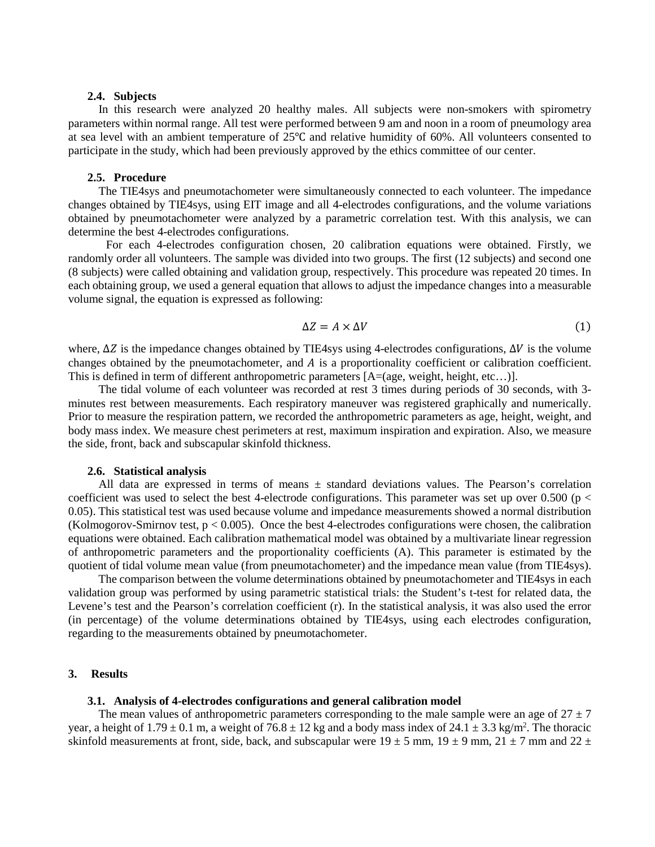### **2.4. Subjects**

In this research were analyzed 20 healthy males. All subjects were non-smokers with spirometry parameters within normal range. All test were performed between 9 am and noon in a room of pneumology area at sea level with an ambient temperature of 25℃ and relative humidity of 60%. All volunteers consented to participate in the study, which had been previously approved by the ethics committee of our center.

#### **2.5. Procedure**

The TIE4sys and pneumotachometer were simultaneously connected to each volunteer. The impedance changes obtained by TIE4sys, using EIT image and all 4-electrodes configurations, and the volume variations obtained by pneumotachometer were analyzed by a parametric correlation test. With this analysis, we can determine the best 4-electrodes configurations.

For each 4-electrodes configuration chosen, 20 calibration equations were obtained. Firstly, we randomly order all volunteers. The sample was divided into two groups. The first (12 subjects) and second one (8 subjects) were called obtaining and validation group, respectively. This procedure was repeated 20 times. In each obtaining group, we used a general equation that allows to adjust the impedance changes into a measurable volume signal, the equation is expressed as following:

$$
\Delta Z = A \times \Delta V \tag{1}
$$

where,  $\Delta Z$  is the impedance changes obtained by TIE4sys using 4-electrodes configurations,  $\Delta V$  is the volume changes obtained by the pneumotachometer, and  $A$  is a proportionality coefficient or calibration coefficient. This is defined in term of different anthropometric parameters [A=(age, weight, height, etc…)].

The tidal volume of each volunteer was recorded at rest 3 times during periods of 30 seconds, with 3 minutes rest between measurements. Each respiratory maneuver was registered graphically and numerically. Prior to measure the respiration pattern, we recorded the anthropometric parameters as age, height, weight, and body mass index. We measure chest perimeters at rest, maximum inspiration and expiration. Also, we measure the side, front, back and subscapular skinfold thickness.

### **2.6. Statistical analysis**

All data are expressed in terms of means  $\pm$  standard deviations values. The Pearson's correlation coefficient was used to select the best 4-electrode configurations. This parameter was set up over 0.500 (p < 0.05). This statistical test was used because volume and impedance measurements showed a normal distribution (Kolmogorov-Smirnov test,  $p < 0.005$ ). Once the best 4-electrodes configurations were chosen, the calibration equations were obtained. Each calibration mathematical model was obtained by a multivariate linear regression of anthropometric parameters and the proportionality coefficients (A). This parameter is estimated by the quotient of tidal volume mean value (from pneumotachometer) and the impedance mean value (from TIE4sys).

The comparison between the volume determinations obtained by pneumotachometer and TIE4sys in each validation group was performed by using parametric statistical trials: the Student's t-test for related data, the Levene's test and the Pearson's correlation coefficient (r). In the statistical analysis, it was also used the error (in percentage) of the volume determinations obtained by TIE4sys, using each electrodes configuration, regarding to the measurements obtained by pneumotachometer.

#### **3. Results**

# **3.1. Analysis of 4-electrodes configurations and general calibration model**

The mean values of anthropometric parameters corresponding to the male sample were an age of  $27 \pm 7$ year, a height of  $1.79 \pm 0.1$  m, a weight of  $76.8 \pm 12$  kg and a body mass index of  $24.1 \pm 3.3$  kg/m<sup>2</sup>. The thoracic skinfold measurements at front, side, back, and subscapular were  $19 \pm 5$  mm,  $19 \pm 9$  mm,  $21 \pm 7$  mm and  $22 \pm 7$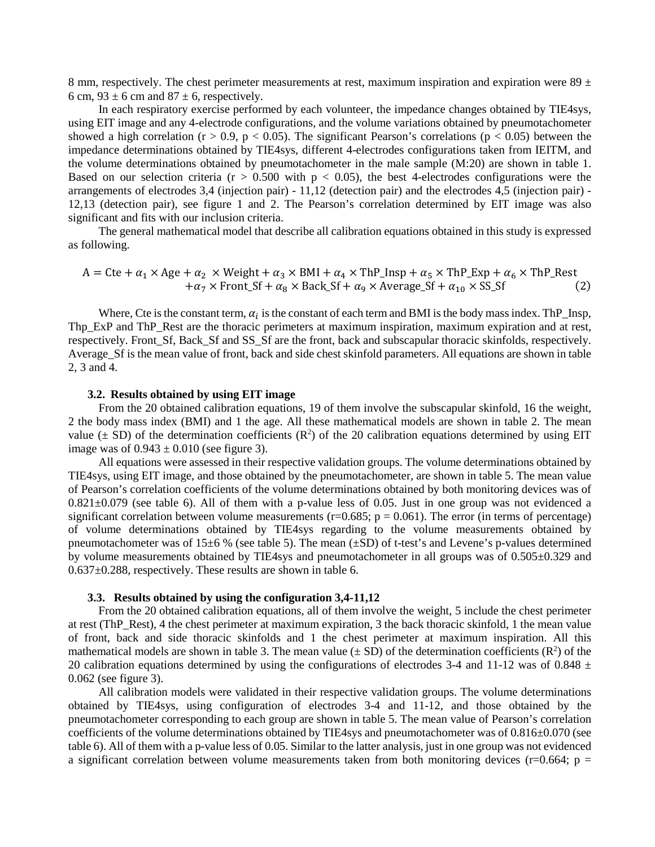8 mm, respectively. The chest perimeter measurements at rest, maximum inspiration and expiration were  $89 \pm$ 6 cm,  $93 \pm 6$  cm and  $87 \pm 6$ , respectively.

In each respiratory exercise performed by each volunteer, the impedance changes obtained by TIE4sys, using EIT image and any 4-electrode configurations, and the volume variations obtained by pneumotachometer showed a high correlation (r > 0.9, p < 0.05). The significant Pearson's correlations (p < 0.05) between the impedance determinations obtained by TIE4sys, different 4-electrodes configurations taken from IEITM, and the volume determinations obtained by pneumotachometer in the male sample (M:20) are shown in table 1. Based on our selection criteria ( $r > 0.500$  with  $p < 0.05$ ), the best 4-electrodes configurations were the arrangements of electrodes 3,4 (injection pair) - 11,12 (detection pair) and the electrodes 4,5 (injection pair) - 12,13 (detection pair), see figure 1 and 2. The Pearson's correlation determined by EIT image was also significant and fits with our inclusion criteria.

The general mathematical model that describe all calibration equations obtained in this study is expressed as following.

$$
A = Cte + \alpha_1 \times Age + \alpha_2 \times Weight + \alpha_3 \times BMI + \alpha_4 \times ThP_Insp + \alpha_5 \times ThP_Exp + \alpha_6 \times ThP_Rest + \alpha_7 \times Front_Sf + \alpha_8 \times Back_Sf + \alpha_9 \times Average_Sf + \alpha_{10} \times SS_Sf
$$
 (2)

Where, Cte is the constant term,  $\alpha_i$  is the constant of each term and BMI is the body mass index. The Insp, Thp\_ExP and ThP\_Rest are the thoracic perimeters at maximum inspiration, maximum expiration and at rest, respectively. Front\_Sf, Back\_Sf and SS\_Sf are the front, back and subscapular thoracic skinfolds, respectively. Average Sf is the mean value of front, back and side chest skinfold parameters. All equations are shown in table 2, 3 and 4.

# **3.2. Results obtained by using EIT image**

From the 20 obtained calibration equations, 19 of them involve the subscapular skinfold, 16 the weight, 2 the body mass index (BMI) and 1 the age. All these mathematical models are shown in table 2. The mean value  $(\pm SD)$  of the determination coefficients ( $\mathbb{R}^2$ ) of the 20 calibration equations determined by using EIT image was of  $0.943 \pm 0.010$  (see figure 3).

All equations were assessed in their respective validation groups. The volume determinations obtained by TIE4sys, using EIT image, and those obtained by the pneumotachometer, are shown in table 5. The mean value of Pearson's correlation coefficients of the volume determinations obtained by both monitoring devices was of  $0.821 \pm 0.079$  (see table 6). All of them with a p-value less of 0.05. Just in one group was not evidenced a significant correlation between volume measurements ( $r=0.685$ ;  $p = 0.061$ ). The error (in terms of percentage) of volume determinations obtained by TIE4sys regarding to the volume measurements obtained by pneumotachometer was of 15±6 % (see table 5). The mean (±SD) of t-test's and Levene's p-values determined by volume measurements obtained by TIE4sys and pneumotachometer in all groups was of 0.505±0.329 and 0.637±0.288, respectively. These results are shown in table 6.

#### **3.3. Results obtained by using the configuration 3,4-11,12**

From the 20 obtained calibration equations, all of them involve the weight, 5 include the chest perimeter at rest (ThP\_Rest), 4 the chest perimeter at maximum expiration, 3 the back thoracic skinfold, 1 the mean value of front, back and side thoracic skinfolds and 1 the chest perimeter at maximum inspiration. All this mathematical models are shown in table 3. The mean value  $(\pm SD)$  of the determination coefficients  $(R^2)$  of the 20 calibration equations determined by using the configurations of electrodes 3-4 and 11-12 was of 0.848  $\pm$ 0.062 (see figure 3).

All calibration models were validated in their respective validation groups. The volume determinations obtained by TIE4sys, using configuration of electrodes 3-4 and 11-12, and those obtained by the pneumotachometer corresponding to each group are shown in table 5. The mean value of Pearson's correlation coefficients of the volume determinations obtained by TIE4sys and pneumotachometer was of  $0.816\pm0.070$  (see table 6). All of them with a p-value less of 0.05. Similar to the latter analysis, just in one group was not evidenced a significant correlation between volume measurements taken from both monitoring devices ( $r=0.664$ ; p =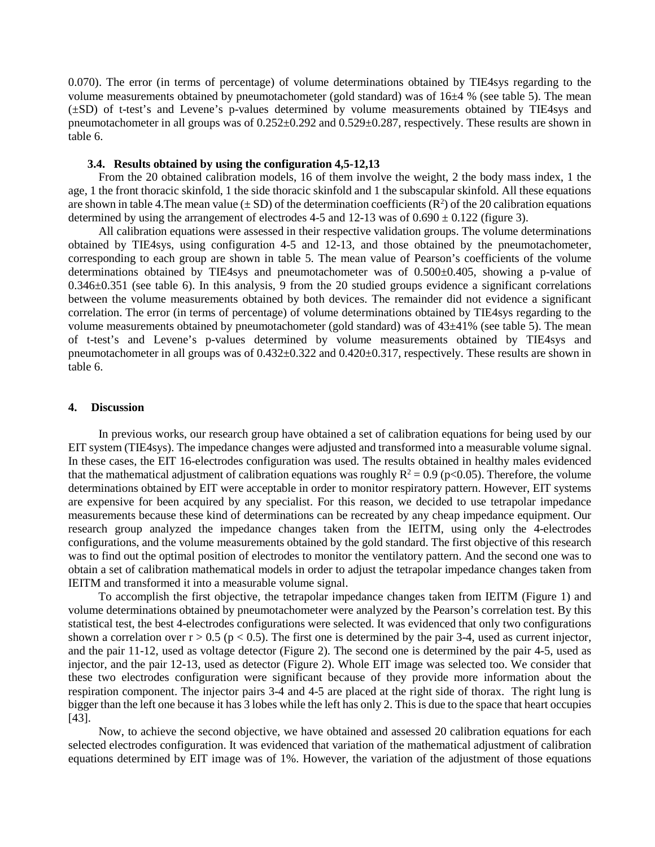0.070). The error (in terms of percentage) of volume determinations obtained by TIE4sys regarding to the volume measurements obtained by pneumotachometer (gold standard) was of 16±4 % (see table 5). The mean (±SD) of t-test's and Levene's p-values determined by volume measurements obtained by TIE4sys and pneumotachometer in all groups was of 0.252±0.292 and 0.529±0.287, respectively. These results are shown in table 6.

#### **3.4. Results obtained by using the configuration 4,5-12,13**

From the 20 obtained calibration models, 16 of them involve the weight, 2 the body mass index, 1 the age, 1 the front thoracic skinfold, 1 the side thoracic skinfold and 1 the subscapular skinfold. All these equations are shown in table 4. The mean value  $(\pm SD)$  of the determination coefficients  $(R^2)$  of the 20 calibration equations determined by using the arrangement of electrodes 4-5 and 12-13 was of  $0.690 \pm 0.122$  (figure 3).

All calibration equations were assessed in their respective validation groups. The volume determinations obtained by TIE4sys, using configuration 4-5 and 12-13, and those obtained by the pneumotachometer, corresponding to each group are shown in table 5. The mean value of Pearson's coefficients of the volume determinations obtained by TIE4sys and pneumotachometer was of 0.500±0.405, showing a p-value of 0.346±0.351 (see table 6). In this analysis, 9 from the 20 studied groups evidence a significant correlations between the volume measurements obtained by both devices. The remainder did not evidence a significant correlation. The error (in terms of percentage) of volume determinations obtained by TIE4sys regarding to the volume measurements obtained by pneumotachometer (gold standard) was of 43±41% (see table 5). The mean of t-test's and Levene's p-values determined by volume measurements obtained by TIE4sys and pneumotachometer in all groups was of 0.432±0.322 and 0.420±0.317, respectively. These results are shown in table 6.

#### **4. Discussion**

In previous works, our research group have obtained a set of calibration equations for being used by our EIT system (TIE4sys). The impedance changes were adjusted and transformed into a measurable volume signal. In these cases, the EIT 16-electrodes configuration was used. The results obtained in healthy males evidenced that the mathematical adjustment of calibration equations was roughly  $R^2 = 0.9$  (p<0.05). Therefore, the volume determinations obtained by EIT were acceptable in order to monitor respiratory pattern. However, EIT systems are expensive for been acquired by any specialist. For this reason, we decided to use tetrapolar impedance measurements because these kind of determinations can be recreated by any cheap impedance equipment. Our research group analyzed the impedance changes taken from the IEITM, using only the 4-electrodes configurations, and the volume measurements obtained by the gold standard. The first objective of this research was to find out the optimal position of electrodes to monitor the ventilatory pattern. And the second one was to obtain a set of calibration mathematical models in order to adjust the tetrapolar impedance changes taken from IEITM and transformed it into a measurable volume signal.

To accomplish the first objective, the tetrapolar impedance changes taken from IEITM (Figure 1) and volume determinations obtained by pneumotachometer were analyzed by the Pearson's correlation test. By this statistical test, the best 4-electrodes configurations were selected. It was evidenced that only two configurations shown a correlation over  $r > 0.5$  (p < 0.5). The first one is determined by the pair 3-4, used as current injector, and the pair 11-12, used as voltage detector (Figure 2). The second one is determined by the pair 4-5, used as injector, and the pair 12-13, used as detector (Figure 2). Whole EIT image was selected too. We consider that these two electrodes configuration were significant because of they provide more information about the respiration component. The injector pairs 3-4 and 4-5 are placed at the right side of thorax. The right lung is bigger than the left one because it has 3 lobes while the left has only 2. This is due to the space that heart occupies [43].

Now, to achieve the second objective, we have obtained and assessed 20 calibration equations for each selected electrodes configuration. It was evidenced that variation of the mathematical adjustment of calibration equations determined by EIT image was of 1%. However, the variation of the adjustment of those equations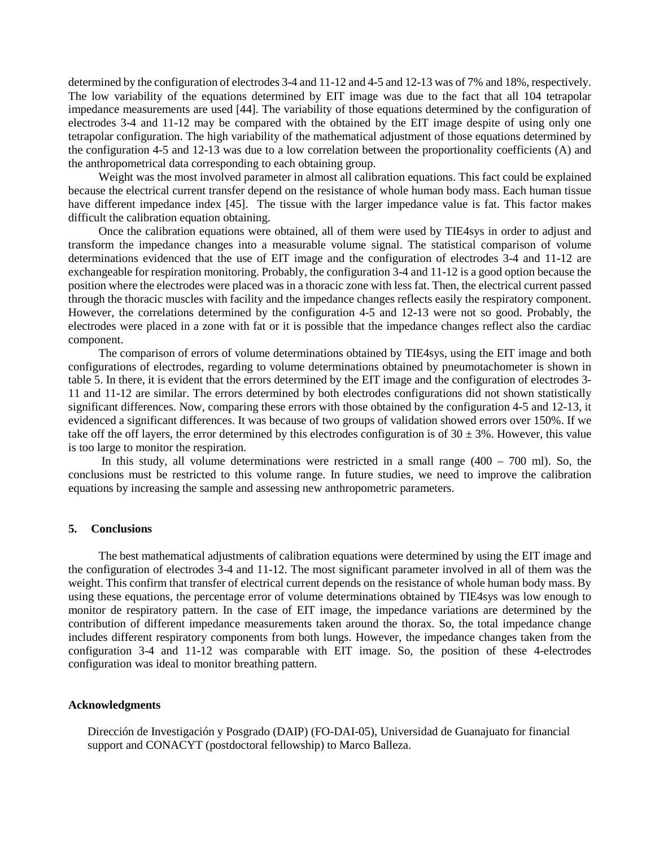determined by the configuration of electrodes 3-4 and 11-12 and 4-5 and 12-13 was of 7% and 18%, respectively. The low variability of the equations determined by EIT image was due to the fact that all 104 tetrapolar impedance measurements are used [44]. The variability of those equations determined by the configuration of electrodes 3-4 and 11-12 may be compared with the obtained by the EIT image despite of using only one tetrapolar configuration. The high variability of the mathematical adjustment of those equations determined by the configuration 4-5 and 12-13 was due to a low correlation between the proportionality coefficients (A) and the anthropometrical data corresponding to each obtaining group.

Weight was the most involved parameter in almost all calibration equations. This fact could be explained because the electrical current transfer depend on the resistance of whole human body mass. Each human tissue have different impedance index [45]. The tissue with the larger impedance value is fat. This factor makes difficult the calibration equation obtaining.

Once the calibration equations were obtained, all of them were used by TIE4sys in order to adjust and transform the impedance changes into a measurable volume signal. The statistical comparison of volume determinations evidenced that the use of EIT image and the configuration of electrodes 3-4 and 11-12 are exchangeable for respiration monitoring. Probably, the configuration 3-4 and 11-12 is a good option because the position where the electrodes were placed was in a thoracic zone with less fat. Then, the electrical current passed through the thoracic muscles with facility and the impedance changes reflects easily the respiratory component. However, the correlations determined by the configuration 4-5 and 12-13 were not so good. Probably, the electrodes were placed in a zone with fat or it is possible that the impedance changes reflect also the cardiac component.

The comparison of errors of volume determinations obtained by TIE4sys, using the EIT image and both configurations of electrodes, regarding to volume determinations obtained by pneumotachometer is shown in table 5. In there, it is evident that the errors determined by the EIT image and the configuration of electrodes 3- 11 and 11-12 are similar. The errors determined by both electrodes configurations did not shown statistically significant differences. Now, comparing these errors with those obtained by the configuration 4-5 and 12-13, it evidenced a significant differences. It was because of two groups of validation showed errors over 150%. If we take off the off layers, the error determined by this electrodes configuration is of  $30 \pm 3\%$ . However, this value is too large to monitor the respiration.

In this study, all volume determinations were restricted in a small range  $(400 - 700$  ml). So, the conclusions must be restricted to this volume range. In future studies, we need to improve the calibration equations by increasing the sample and assessing new anthropometric parameters.

# **5. Conclusions**

The best mathematical adjustments of calibration equations were determined by using the EIT image and the configuration of electrodes 3-4 and 11-12. The most significant parameter involved in all of them was the weight. This confirm that transfer of electrical current depends on the resistance of whole human body mass. By using these equations, the percentage error of volume determinations obtained by TIE4sys was low enough to monitor de respiratory pattern. In the case of EIT image, the impedance variations are determined by the contribution of different impedance measurements taken around the thorax. So, the total impedance change includes different respiratory components from both lungs. However, the impedance changes taken from the configuration 3-4 and 11-12 was comparable with EIT image. So, the position of these 4-electrodes configuration was ideal to monitor breathing pattern.

#### **Acknowledgments**

Dirección de Investigación y Posgrado (DAIP) (FO-DAI-05), Universidad de Guanajuato for financial support and CONACYT (postdoctoral fellowship) to Marco Balleza.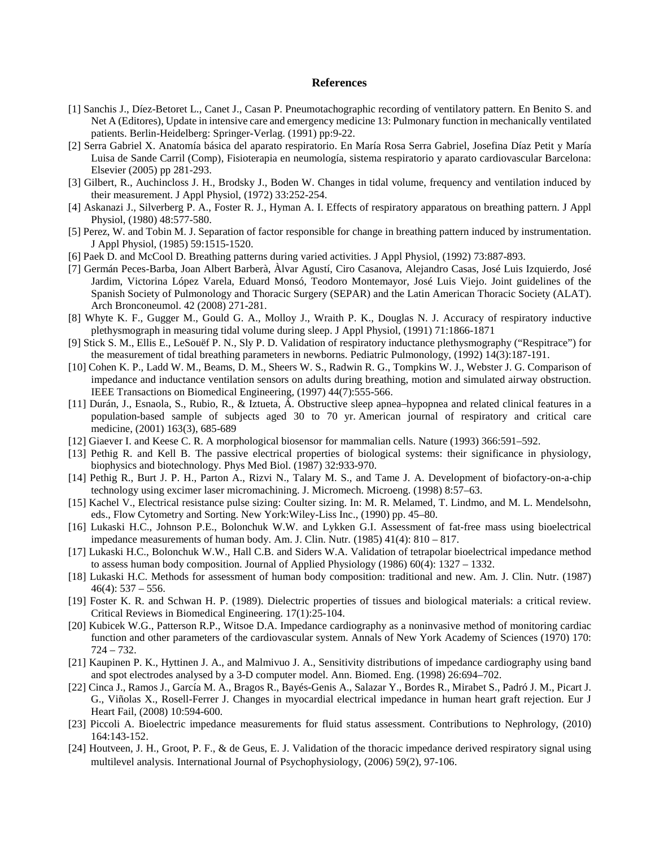#### **References**

- [1] Sanchis J., Díez-Betoret L., Canet J., Casan P. Pneumotachographic recording of ventilatory pattern. En Benito S. and Net A (Editores), Update in intensive care and emergency medicine 13: Pulmonary function in mechanically ventilated patients. Berlin-Heidelberg: Springer-Verlag. (1991) pp:9-22.
- [2] Serra Gabriel X. Anatomía básica del aparato respiratorio. En María Rosa Serra Gabriel, Josefina Díaz Petit y María Luisa de Sande Carril (Comp), Fisioterapia en neumología, sistema respiratorio y aparato cardiovascular Barcelona: Elsevier (2005) pp 281-293.
- [3] Gilbert, R., Auchincloss J. H., Brodsky J., Boden W. Changes in tidal volume, frequency and ventilation induced by their measurement. J Appl Physiol, (1972) 33:252-254.
- [4] Askanazi J., Silverberg P. A., Foster R. J., Hyman A. I. Effects of respiratory apparatous on breathing pattern. J Appl Physiol, (1980) 48:577-580.
- [5] Perez, W. and Tobin M. J. Separation of factor responsible for change in breathing pattern induced by instrumentation. J Appl Physiol, (1985) 59:1515-1520.
- [6] Paek D. and McCool D. Breathing patterns during varied activities. J Appl Physiol, (1992) 73:887-893.
- [7] Germán Peces-Barba, Joan Albert Barberà, Àlvar Agustí, Ciro Casanova, Alejandro Casas, José Luis Izquierdo, José Jardim, Victorina López Varela, Eduard Monsó, Teodoro Montemayor, José Luis Viejo. Joint guidelines of the Spanish Society of Pulmonology and Thoracic Surgery (SEPAR) and the Latin American Thoracic Society (ALAT). Arch Bronconeumol. 42 (2008) 271-281.
- [8] Whyte K. F., Gugger M., Gould G. A., Molloy J., Wraith P. K., Douglas N. J. Accuracy of respiratory inductive plethysmograph in measuring tidal volume during sleep. J Appl Physiol, (1991) 71:1866-1871
- [9] Stick S. M., Ellis E., LeSouëf P. N., Sly P. D. Validation of respiratory inductance plethysmography ("Respitrace") for the measurement of tidal breathing parameters in newborns. Pediatric Pulmonology, (1992) 14(3):187-191.
- [10] Cohen K. P., Ladd W. M., Beams, D. M., Sheers W. S., Radwin R. G., Tompkins W. J., Webster J. G. Comparison of impedance and inductance ventilation sensors on adults during breathing, motion and simulated airway obstruction. IEEE Transactions on Biomedical Engineering, (1997) 44(7):555-566.
- [11] Durán, J., Esnaola, S., Rubio, R., & Iztueta, Á. Obstructive sleep apnea–hypopnea and related clinical features in a population-based sample of subjects aged 30 to 70 yr. American journal of respiratory and critical care medicine, (2001) 163(3), 685-689
- [12] Giaever I. and Keese C. R. A morphological biosensor for mammalian cells. Nature (1993) 366:591–592.
- [13] Pethig R. and Kell B. The passive electrical properties of biological systems: their significance in physiology, biophysics and biotechnology. Phys Med Biol. (1987) 32:933-970.
- [14] Pethig R., Burt J. P. H., Parton A., Rizvi N., Talary M. S., and Tame J. A. Development of biofactory-on-a-chip technology using excimer laser micromachining. J. Micromech. Microeng. (1998) 8:57–63.
- [15] Kachel V., Electrical resistance pulse sizing: Coulter sizing. In: M. R. Melamed, T. Lindmo, and M. L. Mendelsohn, eds., Flow Cytometry and Sorting. New York:Wiley-Liss Inc., (1990) pp. 45–80.
- [16] Lukaski H.C., Johnson P.E., Bolonchuk W.W. and Lykken G.I. Assessment of fat-free mass using bioelectrical impedance measurements of human body. Am. J. Clin. Nutr.  $(1985)$  41(4):  $810 - 817$ .
- [17] Lukaski H.C., Bolonchuk W.W., Hall C.B. and Siders W.A. Validation of tetrapolar bioelectrical impedance method to assess human body composition. Journal of Applied Physiology (1986) 60(4): 1327 – 1332.
- [18] Lukaski H.C. Methods for assessment of human body composition: traditional and new. Am. J. Clin. Nutr. (1987)  $46(4): 537 - 556.$
- [19] Foster K. R. and Schwan H. P. (1989). Dielectric properties of tissues and biological materials: a critical review. Critical Reviews in Biomedical Engineering. 17(1):25-104.
- [20] Kubicek W.G., Patterson R.P., Witsoe D.A. Impedance cardiography as a noninvasive method of monitoring cardiac function and other parameters of the cardiovascular system. Annals of New York Academy of Sciences (1970) 170: 724 – 732.
- [21] Kaupinen P. K., Hyttinen J. A., and Malmivuo J. A., Sensitivity distributions of impedance cardiography using band and spot electrodes analysed by a 3-D computer model. Ann. Biomed. Eng. (1998) 26:694–702.
- [22] Cinca J., Ramos J., García M. A., Bragos R., Bayés-Genis A., Salazar Y., Bordes R., Mirabet S., Padró J. M., Picart J. G., Viñolas X., Rosell-Ferrer J. Changes in myocardial electrical impedance in human heart graft rejection. Eur J Heart Fail, (2008) 10:594-600.
- [23] Piccoli A. Bioelectric impedance measurements for fluid status assessment. Contributions to Nephrology, (2010) 164:143-152.
- [24] Houtveen, J. H., Groot, P. F., & de Geus, E. J. Validation of the thoracic impedance derived respiratory signal using multilevel analysis. International Journal of Psychophysiology, (2006) 59(2), 97-106.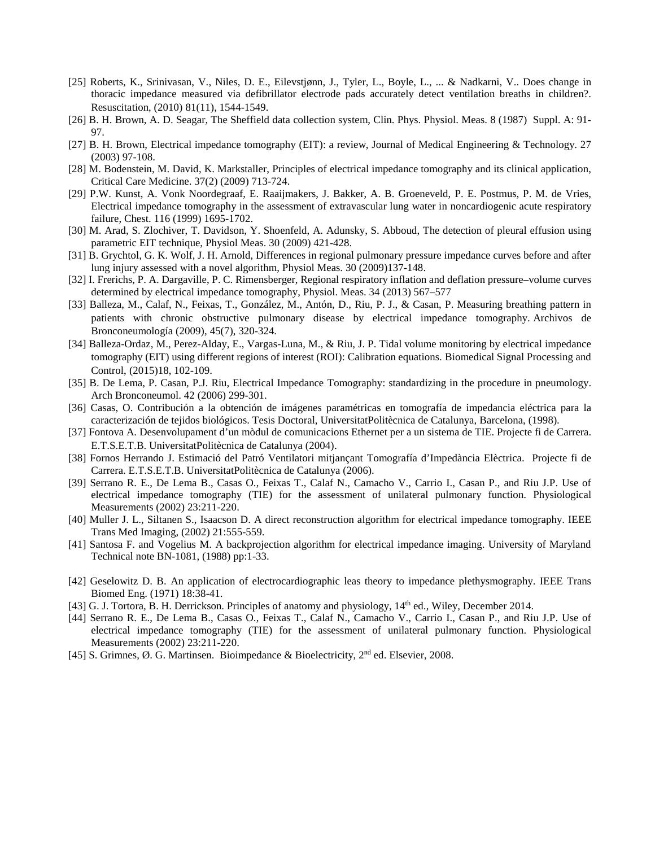- [25] Roberts, K., Srinivasan, V., Niles, D. E., Eilevstjønn, J., Tyler, L., Boyle, L., ... & Nadkarni, V.. Does change in thoracic impedance measured via defibrillator electrode pads accurately detect ventilation breaths in children?. Resuscitation, (2010) 81(11), 1544-1549.
- [26] B. H. Brown, A. D. Seagar, The Sheffield data collection system, Clin. Phys. Physiol. Meas. 8 (1987) Suppl. A: 91- 97.
- [27] B. H. Brown, Electrical impedance tomography (EIT): a review, Journal of Medical Engineering & Technology. 27 (2003) 97-108.
- [28] M. Bodenstein, M. David, K. Markstaller, Principles of electrical impedance tomography and its clinical application, Critical Care Medicine. 37(2) (2009) 713-724.
- [29] P.W. Kunst, A. Vonk Noordegraaf, E. Raaijmakers, J. Bakker, A. B. Groeneveld, P. E. Postmus, P. M. de Vries, Electrical impedance tomography in the assessment of extravascular lung water in noncardiogenic acute respiratory failure, Chest. 116 (1999) 1695-1702.
- [30] M. Arad, S. Zlochiver, T. Davidson, Y. Shoenfeld, A. Adunsky, S. Abboud, The detection of pleural effusion using parametric EIT technique, Physiol Meas. 30 (2009) 421-428.
- [31] B. Grychtol, G. K. Wolf, J. H. Arnold, Differences in regional pulmonary pressure impedance curves before and after lung injury assessed with a novel algorithm, Physiol Meas. 30 (2009)137-148.
- [32] I. Frerichs, P. A. Dargaville, P. C. Rimensberger, Regional respiratory inflation and deflation pressure–volume curves determined by electrical impedance tomography, Physiol. Meas. 34 (2013) 567–577
- [33] Balleza, M., Calaf, N., Feixas, T., González, M., Antón, D., Riu, P. J., & Casan, P. Measuring breathing pattern in patients with chronic obstructive pulmonary disease by electrical impedance tomography. Archivos de Bronconeumología (2009), 45(7), 320-324.
- [34] Balleza-Ordaz, M., Perez-Alday, E., Vargas-Luna, M., & Riu, J. P. Tidal volume monitoring by electrical impedance tomography (EIT) using different regions of interest (ROI): Calibration equations. Biomedical Signal Processing and Control, (2015)18, 102-109.
- [35] B. De Lema, P. Casan, P.J. Riu, Electrical Impedance Tomography: standardizing in the procedure in pneumology. Arch Bronconeumol. 42 (2006) 299-301.
- [36] Casas, O. Contribución a la obtención de imágenes paramétricas en tomografía de impedancia eléctrica para la caracterización de tejidos biológicos. Tesis Doctoral, UniversitatPolitècnica de Catalunya, Barcelona, (1998).
- [37] Fontova A. Desenvolupament d'un mòdul de comunicacions Ethernet per a un sistema de TIE. Projecte fi de Carrera. E.T.S.E.T.B. UniversitatPolitècnica de Catalunya (2004).
- [38] Fornos Herrando J. Estimació del Patró Ventilatori mitjançant Tomografía d'Impedància Elèctrica. Projecte fi de Carrera. E.T.S.E.T.B. UniversitatPolitècnica de Catalunya (2006).
- [39] Serrano R. E., De Lema B., Casas O., Feixas T., Calaf N., Camacho V., Carrio I., Casan P., and Riu J.P. Use of electrical impedance tomography (TIE) for the assessment of unilateral pulmonary function. Physiological Measurements (2002) 23:211-220.
- [40] Muller J. L., Siltanen S., Isaacson D. A direct reconstruction algorithm for electrical impedance tomography. IEEE Trans Med Imaging, (2002) 21:555-559.
- [41] Santosa F. and Vogelius M. A backprojection algorithm for electrical impedance imaging. University of Maryland Technical note BN-1081, (1988) pp:1-33.
- [42] Geselowitz D. B. An application of electrocardiographic leas theory to impedance plethysmography. IEEE Trans Biomed Eng. (1971) 18:38-41.
- [43] G. J. Tortora, B. H. Derrickson. Principles of anatomy and physiology, 14<sup>th</sup> ed., Wiley, December 2014.
- [44] Serrano R. E., De Lema B., Casas O., Feixas T., Calaf N., Camacho V., Carrio I., Casan P., and Riu J.P. Use of electrical impedance tomography (TIE) for the assessment of unilateral pulmonary function. Physiological Measurements (2002) 23:211-220.
- [45] S. Grimnes,  $\varnothing$ . G. Martinsen. Bioimpedance & Bioelectricity,  $2<sup>nd</sup>$  ed. Elsevier, 2008.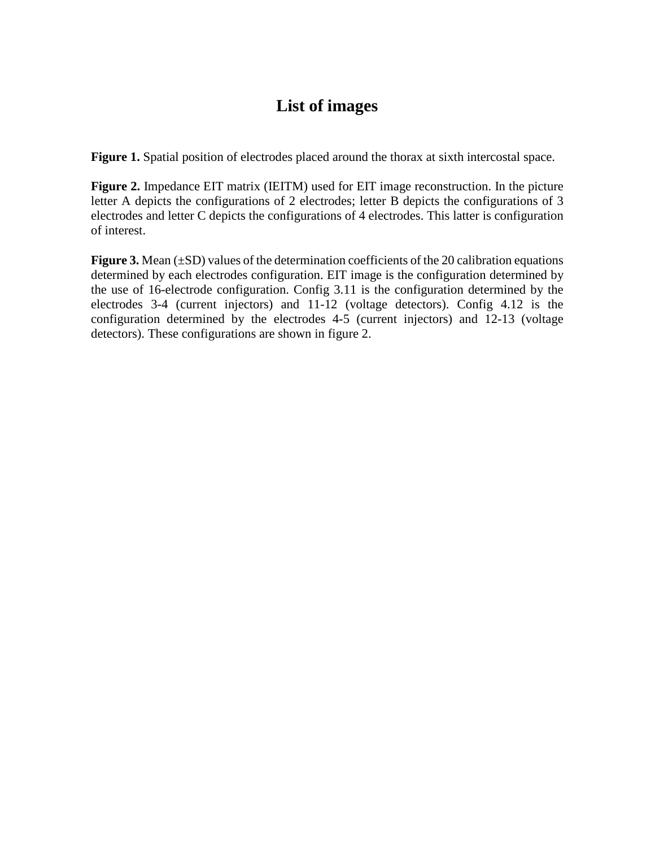# **List of images**

Figure 1. Spatial position of electrodes placed around the thorax at sixth intercostal space.

**Figure 2.** Impedance EIT matrix (IEITM) used for EIT image reconstruction. In the picture letter A depicts the configurations of 2 electrodes; letter B depicts the configurations of 3 electrodes and letter C depicts the configurations of 4 electrodes. This latter is configuration of interest.

**Figure 3.** Mean ( $\pm$ SD) values of the determination coefficients of the 20 calibration equations determined by each electrodes configuration. EIT image is the configuration determined by the use of 16-electrode configuration. Config 3.11 is the configuration determined by the electrodes 3-4 (current injectors) and 11-12 (voltage detectors). Config 4.12 is the configuration determined by the electrodes 4-5 (current injectors) and 12-13 (voltage detectors). These configurations are shown in figure 2.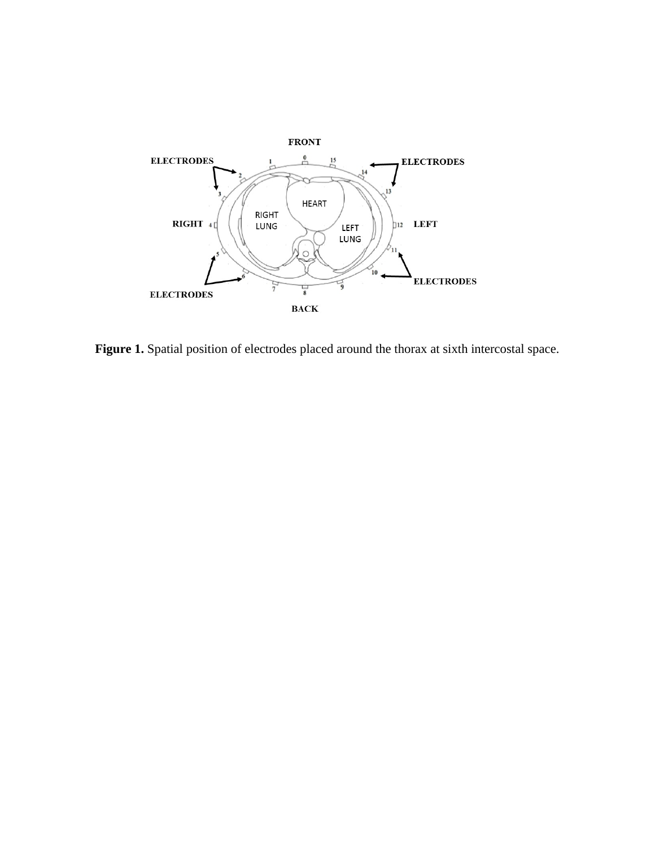

Figure 1. Spatial position of electrodes placed around the thorax at sixth intercostal space.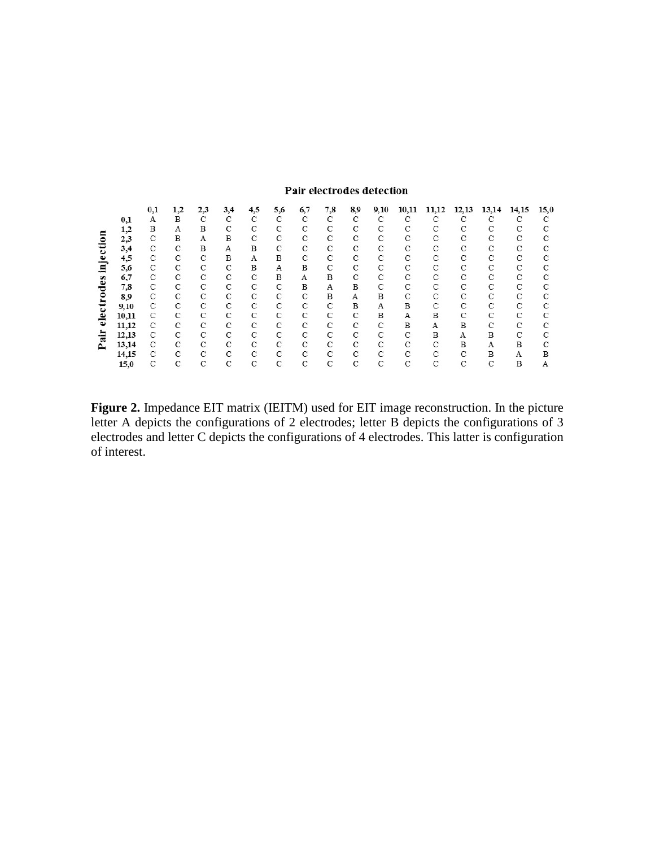# Pair electrodes detection

|         |          | $_{0,1}$ | 1,2 | 2,3 | 3,4 | 4,5           | 5,6 | 6,7           | 7,8           | 8,9 | 9,10          | 10,11         |   | 12,13         | 13,14         | 14,15 | 15,0          |
|---------|----------|----------|-----|-----|-----|---------------|-----|---------------|---------------|-----|---------------|---------------|---|---------------|---------------|-------|---------------|
|         | $_{0,1}$ | Α        | B   | C   | C   | С             | C   | C             | C             | С   | C             | C             | C | C             | C             |       |               |
|         | 1,2      | B        | А   | B   | С   | С             | C   | C             | C             | С   | С             | C             | С | C             | С             | C     | С             |
|         | 2,3      | С        | B   | А   | В   | С             | C   | C             | C             | C   | C             | C             | С | C             | С             | C     | С             |
|         | 3,4      | C        | C   | B   | А   | B             | C   | C             | C             | С   | С             | C             | C | C             | C             | C     | C             |
|         | 4,5      | С        | C   | С   | В   | Α             | B   | C             | C             | C   | C             | C             | С | С             | С             | С     | С             |
| ⊏<br>Ø2 | 5,6      | С        | С   | С   | С   | В             | A   | B             | C             | С   | С             | C             | С | С             | С             | С     | $\mathcal{C}$ |
|         | 6,7      | С        | С   | C   | С   | C             | В   | А             | B             | C   | $\mathbf C$   | C             | С | С             | С             | С     | С             |
|         | 7,8      | C        | C   | C   | C   | C             | C   | B             | Α             | В   | C             | C             | C | C             | C             | C     | С             |
|         | 8,9      | С        | C   | C   | C   | $\mathcal{C}$ | С   | $\mathbf C$   | B             | А   | B             | C             | C | $\mathcal{C}$ | $\mathcal{C}$ | C     | C             |
|         | 9,10     | С        | С   | C   | С   | С             | C   | C             | $\mathbf C$   | B   | Α             | B             | С | C             | C             | C     | C             |
|         | 10,11    | С        | С   | С   | С   | С             | C   | C             | C             | С   | B             | А             | В | С             | С             | С     | С             |
| ڡ       | 11,12    | C        | С   | C   | C   | С             | C   | C             | C             | C   | C             | B             | А | B             | C             | С     | C             |
| α       | 12,13    | С        | С   | C   | С   | С             | С   | C             | C             | C   | С             | C             | В | A             | В             | С     | С             |
|         | 13,14    | C        | С   | C   | C   | C             | C   | $\mathcal{C}$ | $\mathcal{C}$ | C   | $\mathcal{C}$ | $\mathcal{C}$ | С | В             | А             | B     | C             |
|         | 14,15    | C        | С   | C   | C   | С             | C   | C             | C             | C   | C             | C             | С | C             | B             | Α     | в             |
|         | 15,0     | С        | С   | С   | С   | С             | C   | C             | C             | C   | C             | C             | C | C             | C             | В     | А             |

**Figure 2.** Impedance EIT matrix (IEITM) used for EIT image reconstruction. In the picture letter A depicts the configurations of 2 electrodes; letter B depicts the configurations of 3 electrodes and letter C depicts the configurations of 4 electrodes. This latter is configuration of interest.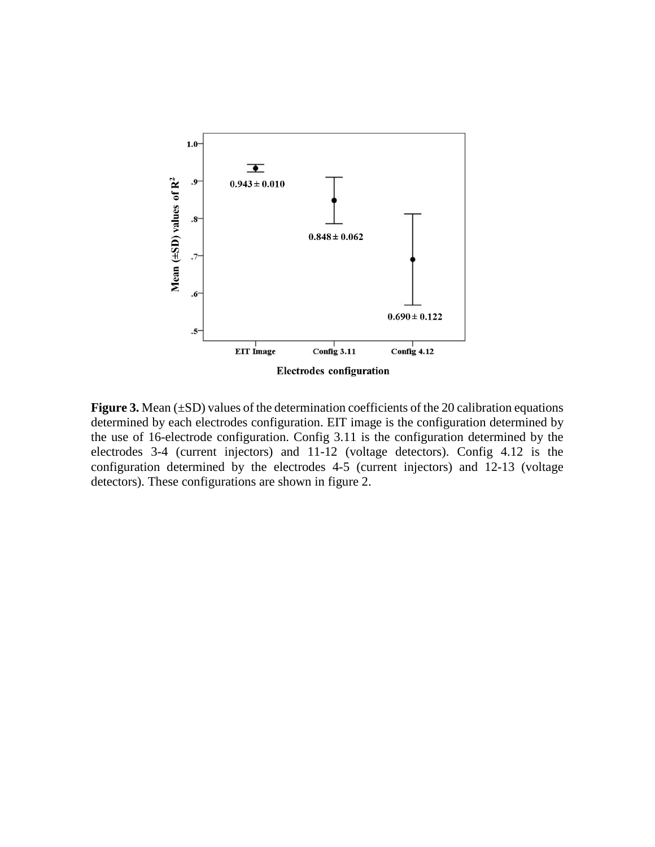

**Figure 3.** Mean ( $\pm$ SD) values of the determination coefficients of the 20 calibration equations determined by each electrodes configuration. EIT image is the configuration determined by the use of 16-electrode configuration. Config 3.11 is the configuration determined by the electrodes 3-4 (current injectors) and 11-12 (voltage detectors). Config 4.12 is the configuration determined by the electrodes 4-5 (current injectors) and 12-13 (voltage detectors). These configurations are shown in figure 2.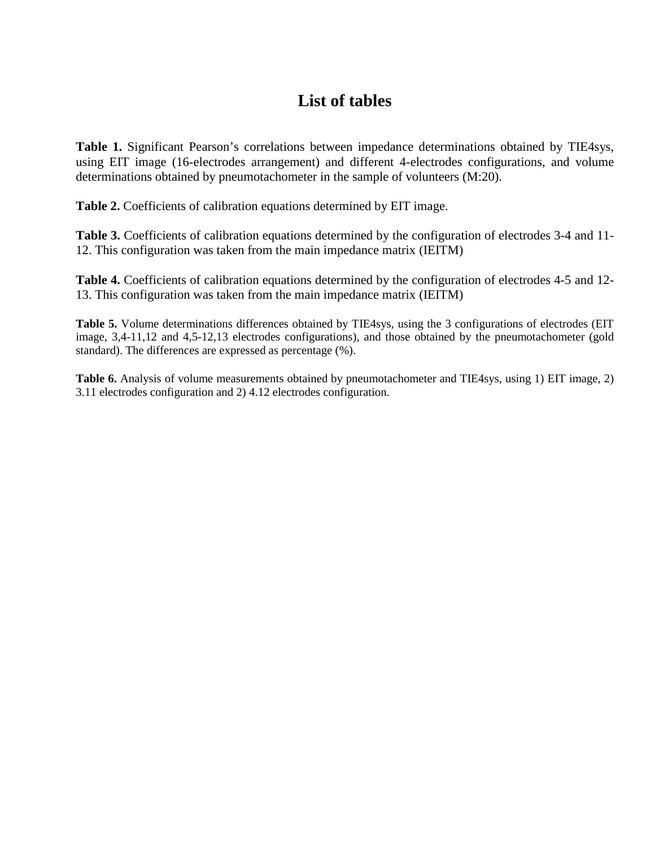# **List of tables**

**Table 1.** Significant Pearson's correlations between impedance determinations obtained by TIE4sys, using EIT image (16-electrodes arrangement) and different 4-electrodes configurations, and volume determinations obtained by pneumotachometer in the sample of volunteers (M:20).

**Table 2.** Coefficients of calibration equations determined by EIT image.

**Table 3.** Coefficients of calibration equations determined by the configuration of electrodes 3-4 and 11- 12. This configuration was taken from the main impedance matrix (IEITM)

**Table 4.** Coefficients of calibration equations determined by the configuration of electrodes 4-5 and 12- 13. This configuration was taken from the main impedance matrix (IEITM)

**Table 5.** Volume determinations differences obtained by TIE4sys, using the 3 configurations of electrodes (EIT image, 3,4-11,12 and 4,5-12,13 electrodes configurations), and those obtained by the pneumotachometer (gold standard). The differences are expressed as percentage (%).

**Table 6.** Analysis of volume measurements obtained by pneumotachometer and TIE4sys, using 1) EIT image, 2) 3.11 electrodes configuration and 2) 4.12 electrodes configuration.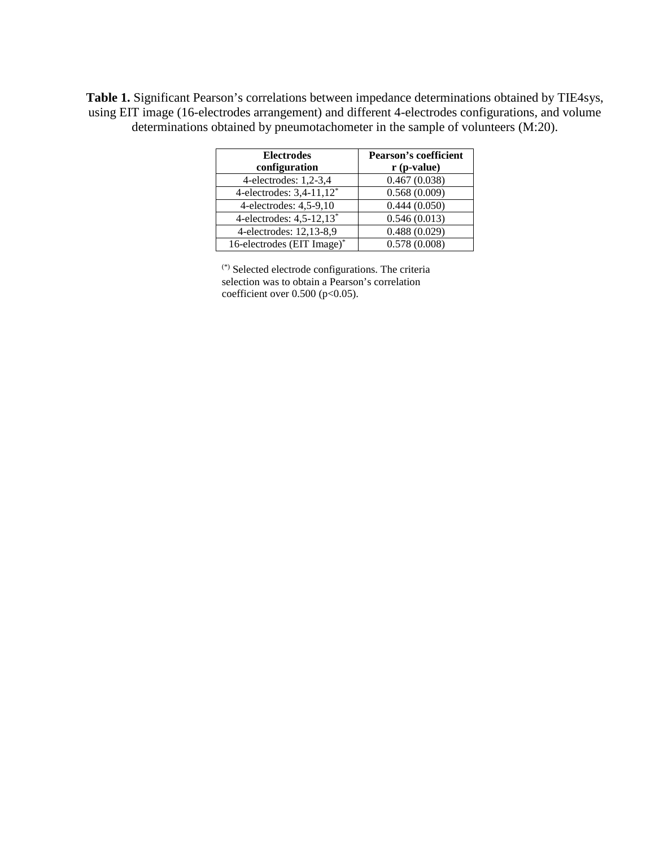**Table 1.** Significant Pearson's correlations between impedance determinations obtained by TIE4sys, using EIT image (16-electrodes arrangement) and different 4-electrodes configurations, and volume determinations obtained by pneumotachometer in the sample of volunteers (M:20).

| <b>Electrodes</b>                      | <b>Pearson's coefficient</b> |  |  |  |  |
|----------------------------------------|------------------------------|--|--|--|--|
| configuration                          | $r$ (p-value)                |  |  |  |  |
| 4-electrodes: $1,2-3,4$                | 0.467(0.038)                 |  |  |  |  |
| 4-electrodes: $3,4-11,12$ <sup>*</sup> | 0.568(0.009)                 |  |  |  |  |
| 4-electrodes: $4,5-9,10$               | 0.444(0.050)                 |  |  |  |  |
| 4-electrodes: $4,5-12,13*$             | 0.546(0.013)                 |  |  |  |  |
| 4-electrodes: 12,13-8,9                | 0.488(0.029)                 |  |  |  |  |
| 16-electrodes (EIT Image)*             | 0.578(0.008)                 |  |  |  |  |

(\*) Selected electrode configurations. The criteria selection was to obtain a Pearson's correlation coefficient over  $0.500$  (p<0.05).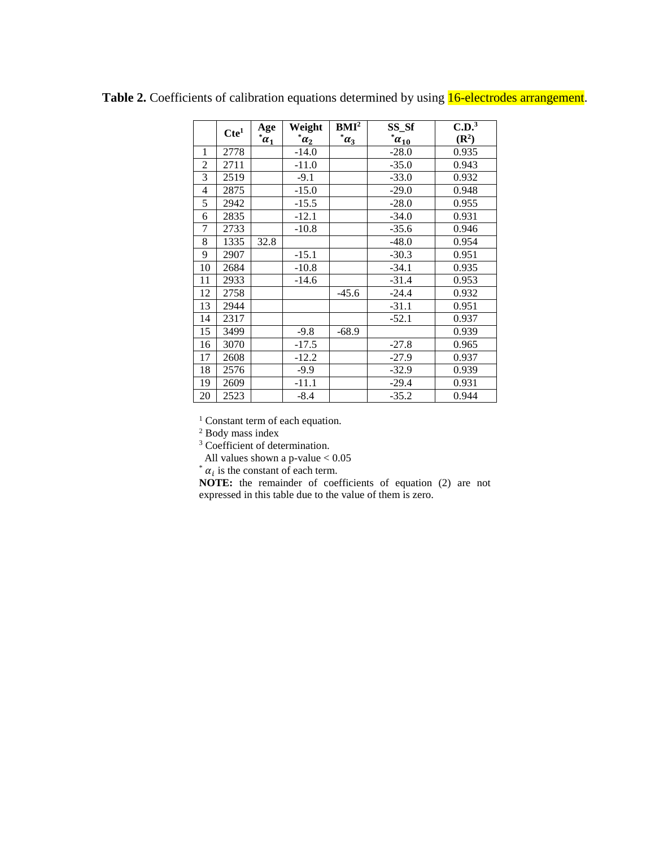|                | Cte <sup>1</sup> | Age        | Weight             | BMI <sup>2</sup> | SS_Sf           | C.D. <sup>3</sup> |
|----------------|------------------|------------|--------------------|------------------|-----------------|-------------------|
|                |                  | $\alpha_1$ | $^{\ast} \alpha_2$ | $\alpha_3$       | $^{\ast}a_{10}$ | $(\mathbb{R}^2)$  |
| 1              | 2778             |            | $-14.0$            |                  | $-28.0$         | 0.935             |
| $\overline{2}$ | 2711             |            | $-11.0$            |                  | $-35.0$         | 0.943             |
| 3              | 2519             |            | $-9.1$             |                  | $-33.0$         | 0.932             |
| 4              | 2875             |            | $-15.0$            |                  | $-29.0$         | 0.948             |
| 5              | 2942             |            | $-15.5$            |                  | $-28.0$         | 0.955             |
| 6              | 2835             |            | $-12.1$            |                  | $-34.0$         | 0.931             |
| 7              | 2733             |            | $-10.8$            |                  | $-35.6$         | 0.946             |
| 8              | 1335             | 32.8       |                    |                  | $-48.0$         | 0.954             |
| 9              | 2907             |            | $-15.1$            |                  | $-30.3$         | 0.951             |
| 10             | 2684             |            | $-10.8$            |                  | $-34.1$         | 0.935             |
| 11             | 2933             |            | $-14.6$            |                  | $-31.4$         | 0.953             |
| 12             | 2758             |            |                    | $-45.6$          | $-24.4$         | 0.932             |
| 13             | 2944             |            |                    |                  | $-31.1$         | 0.951             |
| 14             | 2317             |            |                    |                  | $-52.1$         | 0.937             |
| 15             | 3499             |            | $-9.8$             | $-68.9$          |                 | 0.939             |
| 16             | 3070             |            | $-17.5$            |                  | $-27.8$         | 0.965             |
| 17             | 2608             |            | $-12.2$            |                  | $-27.9$         | 0.937             |
| 18             | 2576             |            | $-9.9$             |                  | $-32.9$         | 0.939             |
| 19             | 2609             |            | $-11.1$            |                  | $-29.4$         | 0.931             |
| 20             | 2523             |            | $-8.4$             |                  | $-35.2$         | 0.944             |

Table 2. Coefficients of calibration equations determined by using 16-electrodes arrangement.

<sup>1</sup> Constant term of each equation.

<sup>2</sup> Body mass index

<sup>3</sup> Coefficient of determination.

All values shown a p-value < 0.05

 $\alpha_i$  is the constant of each term.

**NOTE:** the remainder of coefficients of equation (2) are not expressed in this table due to the value of them is zero.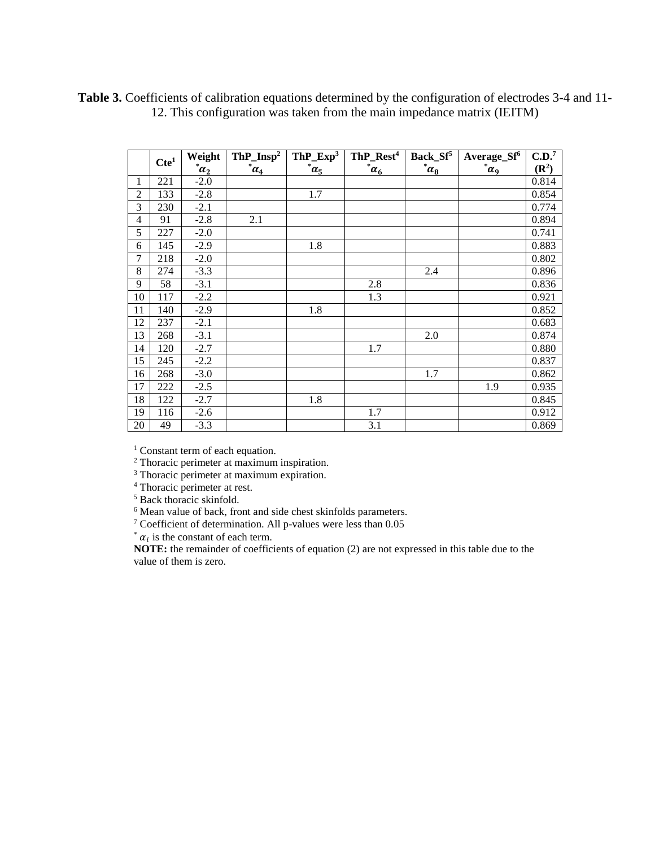|                | Cte <sup>1</sup> | Weight                            | $ThP_{Insp}^2$     | $ThP$ _ $Exp3$        | ThP_Rest <sup>4</sup> | Back_Sf <sup>5</sup> | Average_Sf <sup>6</sup> | C.D. <sup>7</sup> |
|----------------|------------------|-----------------------------------|--------------------|-----------------------|-----------------------|----------------------|-------------------------|-------------------|
|                |                  | $^*$ <u><math>\alpha_2</math></u> | $^{\ast} \alpha_4$ | $\overline{\alpha_5}$ | $\bar{a}_6$           | $\alpha_8$           | $\alpha$ <sup>o</sup>   | $(\mathbb{R}^2)$  |
| 1              | 221              | $-2.0$                            |                    |                       |                       |                      |                         | 0.814             |
| $\overline{2}$ | 133              | $-2.8$                            |                    | 1.7                   |                       |                      |                         | 0.854             |
| 3              | 230              | $-2.1$                            |                    |                       |                       |                      |                         | 0.774             |
| 4              | 91               | $-2.8$                            | 2.1                |                       |                       |                      |                         | 0.894             |
| 5              | 227              | $-2.0$                            |                    |                       |                       |                      |                         | 0.741             |
| 6              | 145              | $-2.9$                            |                    | 1.8                   |                       |                      |                         | 0.883             |
| 7              | 218              | $-2.0$                            |                    |                       |                       |                      |                         | 0.802             |
| 8              | 274              | $-3.3$                            |                    |                       |                       | 2.4                  |                         | 0.896             |
| 9              | 58               | $-3.1$                            |                    |                       | 2.8                   |                      |                         | 0.836             |
| 10             | 117              | $-2.2$                            |                    |                       | 1.3                   |                      |                         | 0.921             |
| 11             | 140              | $-2.9$                            |                    | 1.8                   |                       |                      |                         | 0.852             |
| 12             | 237              | $-2.1$                            |                    |                       |                       |                      |                         | 0.683             |
| 13             | 268              | $-3.1$                            |                    |                       |                       | 2.0                  |                         | 0.874             |
| 14             | 120              | $-2.7$                            |                    |                       | 1.7                   |                      |                         | 0.880             |
| 15             | 245              | $-2.2$                            |                    |                       |                       |                      |                         | 0.837             |
| 16             | 268              | $-3.0$                            |                    |                       |                       | 1.7                  |                         | 0.862             |
| 17             | 222              | $-2.5$                            |                    |                       |                       |                      | 1.9                     | 0.935             |
| 18             | 122              | $-2.7$                            |                    | 1.8                   |                       |                      |                         | 0.845             |
| 19             | 116              | $-2.6$                            |                    |                       | 1.7                   |                      |                         | 0.912             |
| 20             | 49               | $-3.3$                            |                    |                       | 3.1                   |                      |                         | 0.869             |

**Table 3.** Coefficients of calibration equations determined by the configuration of electrodes 3-4 and 11- 12. This configuration was taken from the main impedance matrix (IEITM)

<sup>1</sup> Constant term of each equation.

<sup>2</sup> Thoracic perimeter at maximum inspiration.

<sup>3</sup> Thoracic perimeter at maximum expiration.

<sup>4</sup> Thoracic perimeter at rest.

<sup>5</sup> Back thoracic skinfold.

<sup>6</sup> Mean value of back, front and side chest skinfolds parameters.

<sup>7</sup> Coefficient of determination. All p-values were less than 0.05

\*  $\alpha_i$  is the constant of each term.

**NOTE:** the remainder of coefficients of equation (2) are not expressed in this table due to the value of them is zero.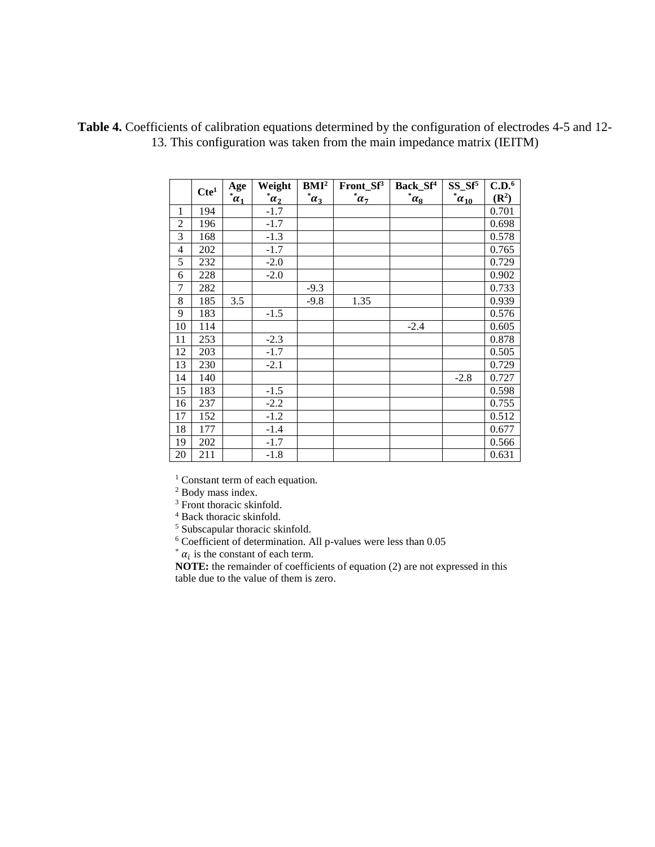|                | Cte <sup>1</sup> | Age              | Weight       | BMI <sup>2</sup> | Front $Sf^3$   | Back_Sf <sup>4</sup> | $SS_Sf^5$  | C.D. <sup>6</sup> |
|----------------|------------------|------------------|--------------|------------------|----------------|----------------------|------------|-------------------|
|                |                  | $\bar{\alpha}_1$ | $\alpha_2^*$ | $\alpha_3$       | $^{\ast}a_{7}$ | $\alpha_8$           | $^*a_{10}$ | $(\mathbb{R}^2)$  |
| 1              | 194              |                  | $-1.7$       |                  |                |                      |            | 0.701             |
| $\overline{2}$ | 196              |                  | $-1.7$       |                  |                |                      |            | 0.698             |
| 3              | 168              |                  | $-1.3$       |                  |                |                      |            | 0.578             |
| 4              | 202              |                  | $-1.7$       |                  |                |                      |            | 0.765             |
| 5              | 232              |                  | $-2.0$       |                  |                |                      |            | 0.729             |
| 6              | 228              |                  | $-2.0$       |                  |                |                      |            | 0.902             |
| $\overline{7}$ | 282              |                  |              | $-9.3$           |                |                      |            | 0.733             |
| 8              | 185              | 3.5              |              | $-9.8$           | 1.35           |                      |            | 0.939             |
| 9              | 183              |                  | $-1.5$       |                  |                |                      |            | 0.576             |
| 10             | 114              |                  |              |                  |                | $-2.4$               |            | 0.605             |
| 11             | 253              |                  | $-2.3$       |                  |                |                      |            | 0.878             |
| 12             | 203              |                  | $-1.7$       |                  |                |                      |            | 0.505             |
| 13             | 230              |                  | $-2.1$       |                  |                |                      |            | 0.729             |
| 14             | 140              |                  |              |                  |                |                      | $-2.8$     | 0.727             |
| 15             | 183              |                  | $-1.5$       |                  |                |                      |            | 0.598             |
| 16             | 237              |                  | $-2.2$       |                  |                |                      |            | 0.755             |
| 17             | 152              |                  | $-1.2$       |                  |                |                      |            | 0.512             |
| 18             | 177              |                  | $-1.4$       |                  |                |                      |            | 0.677             |
| 19             | 202              |                  | $-1.7$       |                  |                |                      |            | 0.566             |
| 20             | 211              |                  | $-1.8$       |                  |                |                      |            | 0.631             |

**Table 4.** Coefficients of calibration equations determined by the configuration of electrodes 4-5 and 12- 13. This configuration was taken from the main impedance matrix (IEITM)

 $1$  Constant term of each equation.

<sup>2</sup> Body mass index.

<sup>3</sup> Front thoracic skinfold.

<sup>4</sup> Back thoracic skinfold.

<sup>5</sup> Subscapular thoracic skinfold.

<sup>6</sup> Coefficient of determination. All p-values were less than 0.05

 $\alpha_i$  is the constant of each term.

**NOTE:** the remainder of coefficients of equation (2) are not expressed in this table due to the value of them is zero.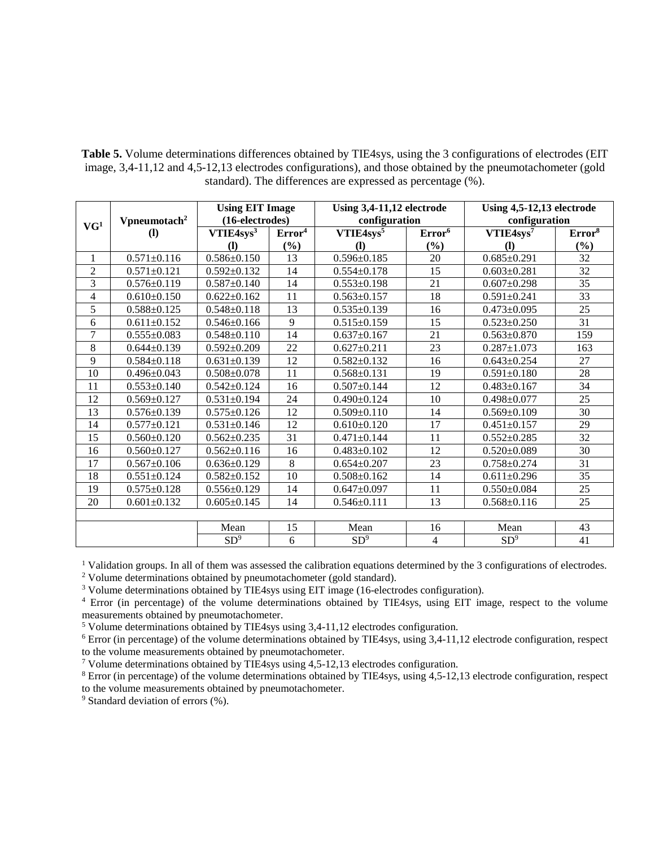Table 5. Volume determinations differences obtained by TIE4sys, using the 3 configurations of electrodes (EIT) image, 3,4-11,12 and 4,5-12,13 electrodes configurations), and those obtained by the pneumotachometer (gold standard). The differences are expressed as percentage (%).

|                 |                                 | <b>Using EIT Image</b><br>(16-electrodes) |                    | Using 3,4-11,12 electrode              |                    | Using 4,5-12,13 electrode<br>configuration |                    |  |  |
|-----------------|---------------------------------|-------------------------------------------|--------------------|----------------------------------------|--------------------|--------------------------------------------|--------------------|--|--|
| VG <sup>1</sup> | Vpneumotach <sup>2</sup><br>(1) | VTIE4sys <sup>3</sup>                     | Error <sup>4</sup> | configuration<br>VTIE4sys <sup>5</sup> | Error <sup>6</sup> | VTIE4sys <sup>7</sup>                      | Error <sup>8</sup> |  |  |
|                 |                                 | <b>(I)</b>                                | (%)                | $\mathbf{I}$                           | (%)                | $\mathbf{I}$                               | $(\%)$             |  |  |
| $\mathbf{1}$    | $0.571 \pm 0.116$               | $0.586 \pm 0.150$                         | 13                 | $0.596 \pm 0.185$                      | 20                 | $0.685 \pm 0.291$                          | 32                 |  |  |
| $\overline{2}$  | $0.571 \pm 0.121$               | $0.592 \pm 0.132$                         | 14                 | $0.554 \pm 0.178$                      | 15                 | $0.603 \pm 0.281$                          | 32                 |  |  |
| 3               | $0.576 \pm 0.119$               | $0.587 + 0.140$                           | 14                 | $0.553 \pm 0.198$                      | 21                 | $0.607+0.298$                              | 35                 |  |  |
| 4               | $0.610+0.150$                   | $0.622+0.162$                             | 11                 | $0.563 \pm 0.157$                      | 18                 | $0.591 \pm 0.241$                          | 33                 |  |  |
| 5               | $0.588 \pm 0.125$               | $0.548 \pm 0.118$                         | 13                 | $0.535 \pm 0.139$                      | 16                 | $0.473 \pm 0.095$                          | 25                 |  |  |
| 6               | $0.611 \pm 0.152$               | $0.546 \pm 0.166$                         | 9                  | $0.515 \pm 0.159$                      | 15                 | $0.523 \pm 0.250$                          | 31                 |  |  |
| 7               | $0.555 \pm 0.083$               | $0.548 \pm 0.110$                         | 14                 | $0.637 \pm 0.167$                      | 21                 | $0.563 \pm 0.870$                          | 159                |  |  |
| 8               | $0.644 \pm 0.139$               | $0.592 \pm 0.209$                         | 22                 | $0.627 \pm 0.211$                      | 23                 | $0.287 \pm 1.073$                          | 163                |  |  |
| 9               | $0.584 \pm 0.118$               | $0.631 \pm 0.139$                         | 12                 | $0.582 \pm 0.132$                      | 16                 | $0.643+0.254$                              | 27                 |  |  |
| 10              | $0.496 \pm 0.043$               | $0.508 \pm 0.078$                         | 11                 | $0.568 \pm 0.131$                      | 19                 | $0.591 \pm 0.180$                          | 28                 |  |  |
| 11              | $0.553 \pm 0.140$               | $0.542 \pm 0.124$                         | 16                 | $0.507 \pm 0.144$                      | 12                 | $0.483 \pm 0.167$                          | 34                 |  |  |
| 12              | $0.569 + 0.127$                 | $0.531 \pm 0.194$                         | 24                 | $0.490 \pm 0.124$                      | 10                 | $0.498 + 0.077$                            | 25                 |  |  |
| 13              | $0.576 \pm 0.139$               | $0.575 \pm 0.126$                         | 12                 | $0.509 \pm 0.110$                      | 14                 | $0.569 \pm 0.109$                          | 30                 |  |  |
| 14              | $0.577 \pm 0.121$               | $0.531 \pm 0.146$                         | 12                 | $0.610\pm0.120$                        | 17                 | $0.451 \pm 0.157$                          | 29                 |  |  |
| 15              | $0.560 \pm 0.120$               | $0.562 \pm 0.235$                         | 31                 | $0.471 \pm 0.144$                      | 11                 | $0.552+0.285$                              | $\overline{32}$    |  |  |
| 16              | $0.560 \pm 0.127$               | $0.562 \pm 0.116$                         | 16                 | $0.483 \pm 0.102$                      | 12                 | $0.520 \pm 0.089$                          | 30                 |  |  |
| 17              | $0.567 \pm 0.106$               | $0.636 \pm 0.129$                         | 8                  | $0.654 \pm 0.207$                      | 23                 | $0.758 \pm 0.274$                          | $\overline{31}$    |  |  |
| 18              | $0.551 \pm 0.124$               | $0.582+0.152$                             | 10                 | $0.508 \pm 0.162$                      | 14                 | $0.611 \pm 0.296$                          | 35                 |  |  |
| 19              | $0.575 \pm 0.128$               | $0.556 \pm 0.129$                         | 14                 | $0.647 \pm 0.097$                      | 11                 | $0.550+0.084$                              | 25                 |  |  |
| 20              | $0.601 \pm 0.132$               | $0.605 \pm 0.145$                         | 14                 | $0.546 \pm 0.111$                      | 13                 | $0.568 \pm 0.116$                          | 25                 |  |  |
|                 |                                 |                                           |                    |                                        |                    |                                            |                    |  |  |
|                 |                                 | Mean                                      | 15                 | Mean                                   | 16                 | Mean                                       | 43                 |  |  |
|                 |                                 | SD <sup>9</sup>                           | 6                  | SD <sup>9</sup>                        | 4                  | SD <sup>9</sup>                            | 41                 |  |  |

<sup>1</sup> Validation groups. In all of them was assessed the calibration equations determined by the 3 configurations of electrodes.

<sup>2</sup> Volume determinations obtained by pneumotachometer (gold standard).

<sup>3</sup> Volume determinations obtained by TIE4sys using EIT image (16-electrodes configuration).

<sup>4</sup> Error (in percentage) of the volume determinations obtained by TIE4sys, using EIT image, respect to the volume measurements obtained by pneumotachometer.

<sup>5</sup> Volume determinations obtained by TIE4sys using 3,4-11,12 electrodes configuration.

<sup>6</sup> Error (in percentage) of the volume determinations obtained by TIE4sys, using 3,4-11,12 electrode configuration, respect to the volume measurements obtained by pneumotachometer.

<sup>7</sup> Volume determinations obtained by TIE4sys using 4,5-12,13 electrodes configuration.

<sup>8</sup> Error (in percentage) of the volume determinations obtained by TIE4sys, using 4,5-12,13 electrode configuration, respect to the volume measurements obtained by pneumotachometer.

<sup>9</sup> Standard deviation of errors (%).